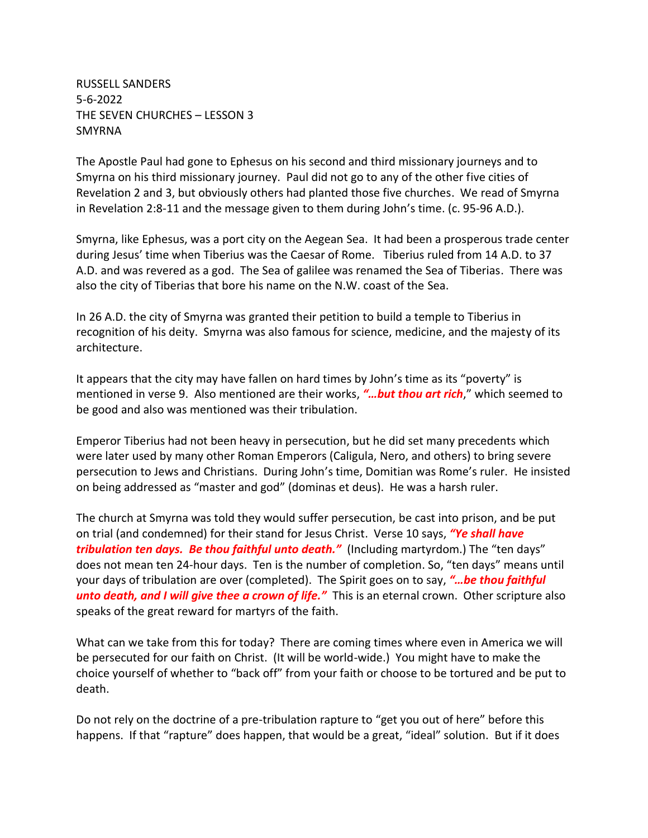RUSSELL SANDERS 5-6-2022 THE SEVEN CHURCHES – LESSON 3 SMYRNA

The Apostle Paul had gone to Ephesus on his second and third missionary journeys and to Smyrna on his third missionary journey. Paul did not go to any of the other five cities of Revelation 2 and 3, but obviously others had planted those five churches. We read of Smyrna in Revelation 2:8-11 and the message given to them during John's time. (c. 95-96 A.D.).

Smyrna, like Ephesus, was a port city on the Aegean Sea. It had been a prosperous trade center during Jesus' time when Tiberius was the Caesar of Rome. Tiberius ruled from 14 A.D. to 37 A.D. and was revered as a god. The Sea of galilee was renamed the Sea of Tiberias. There was also the city of Tiberias that bore his name on the N.W. coast of the Sea.

In 26 A.D. the city of Smyrna was granted their petition to build a temple to Tiberius in recognition of his deity. Smyrna was also famous for science, medicine, and the majesty of its architecture.

It appears that the city may have fallen on hard times by John's time as its "poverty" is mentioned in verse 9. Also mentioned are their works, *"…but thou art rich*," which seemed to be good and also was mentioned was their tribulation.

Emperor Tiberius had not been heavy in persecution, but he did set many precedents which were later used by many other Roman Emperors (Caligula, Nero, and others) to bring severe persecution to Jews and Christians. During John's time, Domitian was Rome's ruler. He insisted on being addressed as "master and god" (dominas et deus). He was a harsh ruler.

The church at Smyrna was told they would suffer persecution, be cast into prison, and be put on trial (and condemned) for their stand for Jesus Christ. Verse 10 says, *"Ye shall have tribulation ten days. Be thou faithful unto death."* (Including martyrdom.) The "ten days" does not mean ten 24-hour days. Ten is the number of completion. So, "ten days" means until your days of tribulation are over (completed). The Spirit goes on to say, *"…be thou faithful unto death, and I will give thee a crown of life."* This is an eternal crown. Other scripture also speaks of the great reward for martyrs of the faith.

What can we take from this for today? There are coming times where even in America we will be persecuted for our faith on Christ. (It will be world-wide.) You might have to make the choice yourself of whether to "back off" from your faith or choose to be tortured and be put to death.

Do not rely on the doctrine of a pre-tribulation rapture to "get you out of here" before this happens. If that "rapture" does happen, that would be a great, "ideal" solution. But if it does